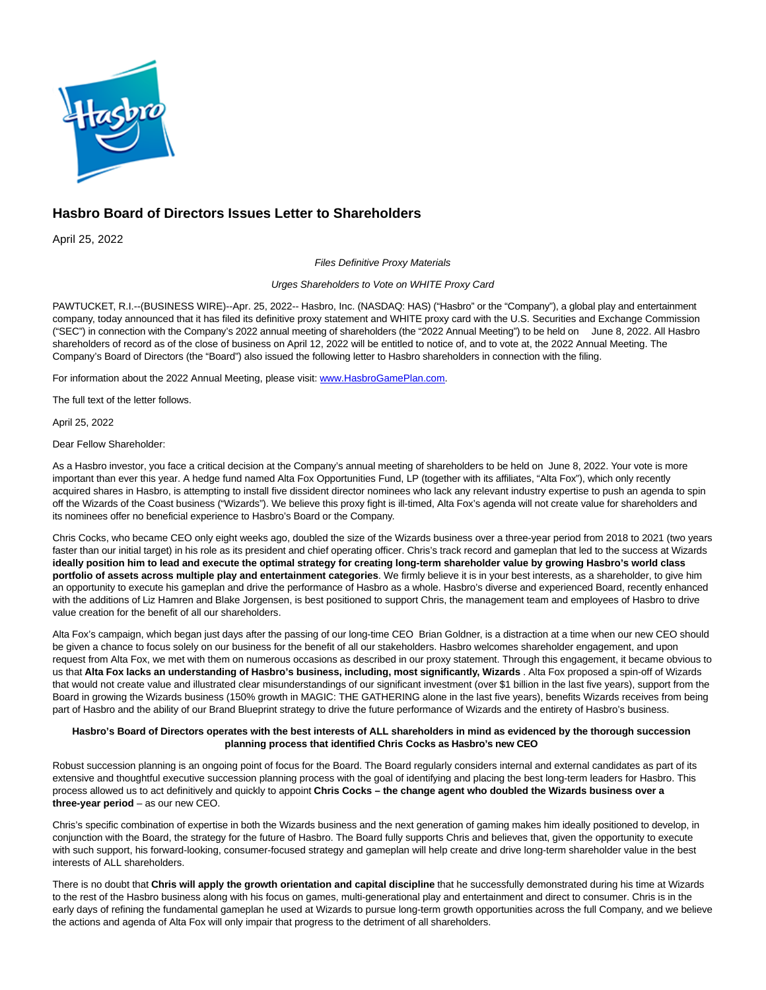

# **Hasbro Board of Directors Issues Letter to Shareholders**

April 25, 2022

Files Definitive Proxy Materials

## Urges Shareholders to Vote on WHITE Proxy Card

PAWTUCKET, R.I.--(BUSINESS WIRE)--Apr. 25, 2022-- Hasbro, Inc. (NASDAQ: HAS) ("Hasbro" or the "Company"), a global play and entertainment company, today announced that it has filed its definitive proxy statement and WHITE proxy card with the U.S. Securities and Exchange Commission ("SEC") in connection with the Company's 2022 annual meeting of shareholders (the "2022 Annual Meeting") to be held on June 8, 2022. All Hasbro shareholders of record as of the close of business on April 12, 2022 will be entitled to notice of, and to vote at, the 2022 Annual Meeting. The Company's Board of Directors (the "Board") also issued the following letter to Hasbro shareholders in connection with the filing.

For information about the 2022 Annual Meeting, please visit: [www.HasbroGamePlan.com.](https://cts.businesswire.com/ct/CT?id=smartlink&url=http%3A%2F%2Fwww.HasbroGamePlan.com&esheet=52696047&newsitemid=20220424005104&lan=en-US&anchor=www.HasbroGamePlan.com&index=1&md5=46b7a691c7eb5e3ff8d3d16c61e2e4a0)

The full text of the letter follows.

April 25, 2022

Dear Fellow Shareholder:

As a Hasbro investor, you face a critical decision at the Company's annual meeting of shareholders to be held on June 8, 2022. Your vote is more important than ever this year. A hedge fund named Alta Fox Opportunities Fund, LP (together with its affiliates, "Alta Fox"), which only recently acquired shares in Hasbro, is attempting to install five dissident director nominees who lack any relevant industry expertise to push an agenda to spin off the Wizards of the Coast business ("Wizards"). We believe this proxy fight is ill-timed, Alta Fox's agenda will not create value for shareholders and its nominees offer no beneficial experience to Hasbro's Board or the Company.

Chris Cocks, who became CEO only eight weeks ago, doubled the size of the Wizards business over a three-year period from 2018 to 2021 (two years faster than our initial target) in his role as its president and chief operating officer. Chris's track record and gameplan that led to the success at Wizards **ideally position him to lead and execute the optimal strategy for creating long-term shareholder value by growing Hasbro's world class portfolio of assets across multiple play and entertainment categories**. We firmly believe it is in your best interests, as a shareholder, to give him an opportunity to execute his gameplan and drive the performance of Hasbro as a whole. Hasbro's diverse and experienced Board, recently enhanced with the additions of Liz Hamren and Blake Jorgensen, is best positioned to support Chris, the management team and employees of Hasbro to drive value creation for the benefit of all our shareholders.

Alta Fox's campaign, which began just days after the passing of our long-time CEO Brian Goldner, is a distraction at a time when our new CEO should be given a chance to focus solely on our business for the benefit of all our stakeholders. Hasbro welcomes shareholder engagement, and upon request from Alta Fox, we met with them on numerous occasions as described in our proxy statement. Through this engagement, it became obvious to us that **Alta Fox lacks an understanding of Hasbro's business, including, most significantly, Wizards** . Alta Fox proposed a spin-off of Wizards that would not create value and illustrated clear misunderstandings of our significant investment (over \$1 billion in the last five years), support from the Board in growing the Wizards business (150% growth in MAGIC: THE GATHERING alone in the last five years), benefits Wizards receives from being part of Hasbro and the ability of our Brand Blueprint strategy to drive the future performance of Wizards and the entirety of Hasbro's business.

## **Hasbro's Board of Directors operates with the best interests of ALL shareholders in mind as evidenced by the thorough succession planning process that identified Chris Cocks as Hasbro's new CEO**

Robust succession planning is an ongoing point of focus for the Board. The Board regularly considers internal and external candidates as part of its extensive and thoughtful executive succession planning process with the goal of identifying and placing the best long-term leaders for Hasbro. This process allowed us to act definitively and quickly to appoint **Chris Cocks – the change agent who doubled the Wizards business over a three-year period** – as our new CEO.

Chris's specific combination of expertise in both the Wizards business and the next generation of gaming makes him ideally positioned to develop, in conjunction with the Board, the strategy for the future of Hasbro. The Board fully supports Chris and believes that, given the opportunity to execute with such support, his forward-looking, consumer-focused strategy and gameplan will help create and drive long-term shareholder value in the best interests of ALL shareholders.

There is no doubt that **Chris will apply the growth orientation and capital discipline** that he successfully demonstrated during his time at Wizards to the rest of the Hasbro business along with his focus on games, multi-generational play and entertainment and direct to consumer. Chris is in the early days of refining the fundamental gameplan he used at Wizards to pursue long-term growth opportunities across the full Company, and we believe the actions and agenda of Alta Fox will only impair that progress to the detriment of all shareholders.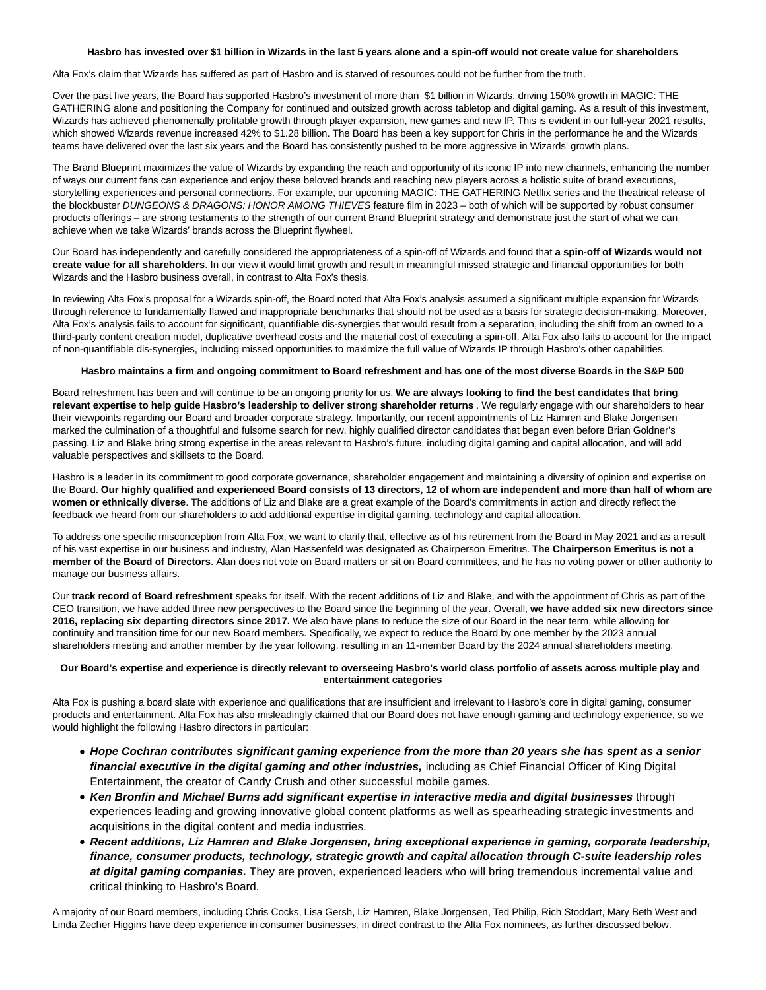### **Hasbro has invested over \$1 billion in Wizards in the last 5 years alone and a spin-off would not create value for shareholders**

Alta Fox's claim that Wizards has suffered as part of Hasbro and is starved of resources could not be further from the truth.

Over the past five years, the Board has supported Hasbro's investment of more than \$1 billion in Wizards, driving 150% growth in MAGIC: THE GATHERING alone and positioning the Company for continued and outsized growth across tabletop and digital gaming. As a result of this investment, Wizards has achieved phenomenally profitable growth through player expansion, new games and new IP. This is evident in our full-year 2021 results, which showed Wizards revenue increased 42% to \$1.28 billion. The Board has been a key support for Chris in the performance he and the Wizards teams have delivered over the last six years and the Board has consistently pushed to be more aggressive in Wizards' growth plans.

The Brand Blueprint maximizes the value of Wizards by expanding the reach and opportunity of its iconic IP into new channels, enhancing the number of ways our current fans can experience and enjoy these beloved brands and reaching new players across a holistic suite of brand executions, storytelling experiences and personal connections. For example, our upcoming MAGIC: THE GATHERING Netflix series and the theatrical release of the blockbuster DUNGEONS & DRAGONS: HONOR AMONG THIEVES feature film in 2023 – both of which will be supported by robust consumer products offerings – are strong testaments to the strength of our current Brand Blueprint strategy and demonstrate just the start of what we can achieve when we take Wizards' brands across the Blueprint flywheel.

Our Board has independently and carefully considered the appropriateness of a spin-off of Wizards and found that **a spin-off of Wizards would not create value for all shareholders**. In our view it would limit growth and result in meaningful missed strategic and financial opportunities for both Wizards and the Hasbro business overall, in contrast to Alta Fox's thesis.

In reviewing Alta Fox's proposal for a Wizards spin-off, the Board noted that Alta Fox's analysis assumed a significant multiple expansion for Wizards through reference to fundamentally flawed and inappropriate benchmarks that should not be used as a basis for strategic decision-making. Moreover, Alta Fox's analysis fails to account for significant, quantifiable dis-synergies that would result from a separation, including the shift from an owned to a third-party content creation model, duplicative overhead costs and the material cost of executing a spin-off. Alta Fox also fails to account for the impact of non-quantifiable dis-synergies, including missed opportunities to maximize the full value of Wizards IP through Hasbro's other capabilities.

## **Hasbro maintains a firm and ongoing commitment to Board refreshment and has one of the most diverse Boards in the S&P 500**

Board refreshment has been and will continue to be an ongoing priority for us. **We are always looking to find the best candidates that bring relevant expertise to help guide Hasbro's leadership to deliver strong shareholder returns** . We regularly engage with our shareholders to hear their viewpoints regarding our Board and broader corporate strategy. Importantly, our recent appointments of Liz Hamren and Blake Jorgensen marked the culmination of a thoughtful and fulsome search for new, highly qualified director candidates that began even before Brian Goldner's passing. Liz and Blake bring strong expertise in the areas relevant to Hasbro's future, including digital gaming and capital allocation, and will add valuable perspectives and skillsets to the Board.

Hasbro is a leader in its commitment to good corporate governance, shareholder engagement and maintaining a diversity of opinion and expertise on the Board. **Our highly qualified and experienced Board consists of 13 directors, 12 of whom are independent and more than half of whom are women or ethnically diverse**. The additions of Liz and Blake are a great example of the Board's commitments in action and directly reflect the feedback we heard from our shareholders to add additional expertise in digital gaming, technology and capital allocation.

To address one specific misconception from Alta Fox, we want to clarify that, effective as of his retirement from the Board in May 2021 and as a result of his vast expertise in our business and industry, Alan Hassenfeld was designated as Chairperson Emeritus. **The Chairperson Emeritus is not a member of the Board of Directors**. Alan does not vote on Board matters or sit on Board committees, and he has no voting power or other authority to manage our business affairs.

Our **track record of Board refreshment** speaks for itself. With the recent additions of Liz and Blake, and with the appointment of Chris as part of the CEO transition, we have added three new perspectives to the Board since the beginning of the year. Overall, **we have added six new directors since 2016, replacing six departing directors since 2017.** We also have plans to reduce the size of our Board in the near term, while allowing for continuity and transition time for our new Board members. Specifically, we expect to reduce the Board by one member by the 2023 annual shareholders meeting and another member by the year following, resulting in an 11-member Board by the 2024 annual shareholders meeting.

# **Our Board's expertise and experience is directly relevant to overseeing Hasbro's world class portfolio of assets across multiple play and entertainment categories**

Alta Fox is pushing a board slate with experience and qualifications that are insufficient and irrelevant to Hasbro's core in digital gaming, consumer products and entertainment. Alta Fox has also misleadingly claimed that our Board does not have enough gaming and technology experience, so we would highlight the following Hasbro directors in particular:

- **Hope Cochran contributes significant gaming experience from the more than 20 years she has spent as a senior financial executive in the digital gaming and other industries,** including as Chief Financial Officer of King Digital Entertainment, the creator of Candy Crush and other successful mobile games.
- **Ken Bronfin and Michael Burns add significant expertise in interactive media and digital businesses** through experiences leading and growing innovative global content platforms as well as spearheading strategic investments and acquisitions in the digital content and media industries.
- **Recent additions, Liz Hamren and Blake Jorgensen, bring exceptional experience in gaming, corporate leadership, finance, consumer products, technology, strategic growth and capital allocation through C-suite leadership roles at digital gaming companies.** They are proven, experienced leaders who will bring tremendous incremental value and critical thinking to Hasbro's Board.

A majority of our Board members, including Chris Cocks, Lisa Gersh, Liz Hamren, Blake Jorgensen, Ted Philip, Rich Stoddart, Mary Beth West and Linda Zecher Higgins have deep experience in consumer businesses, in direct contrast to the Alta Fox nominees, as further discussed below.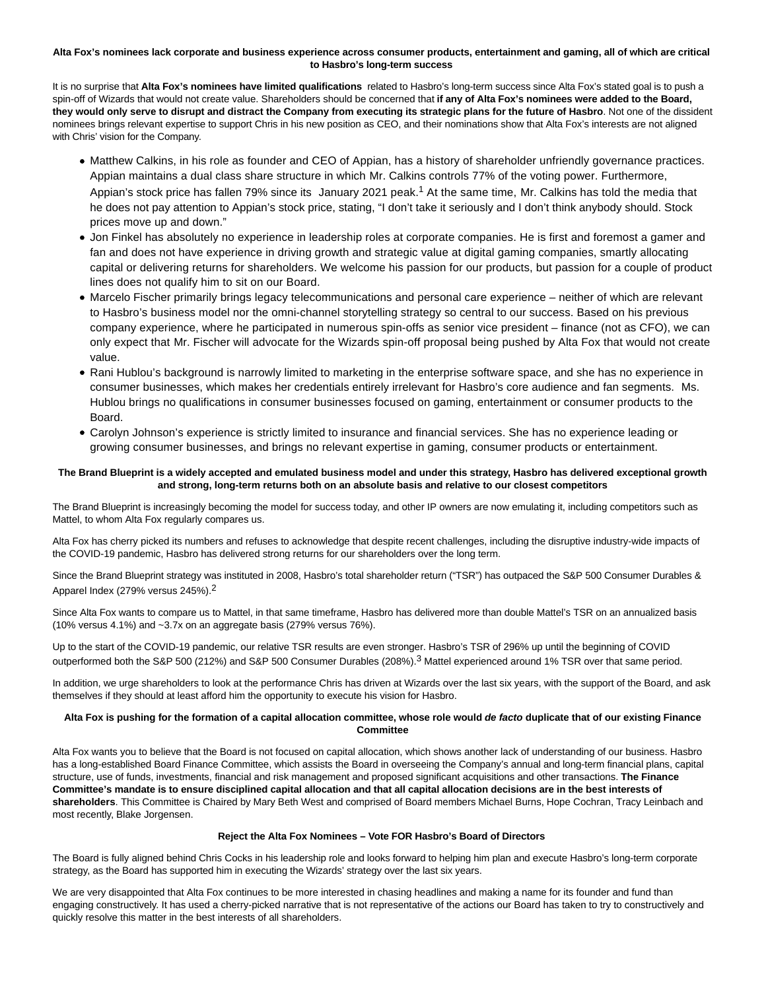## **Alta Fox's nominees lack corporate and business experience across consumer products, entertainment and gaming, all of which are critical to Hasbro's long-term success**

It is no surprise that **Alta Fox's nominees have limited qualifications** related to Hasbro's long-term success since Alta Fox's stated goal is to push a spin-off of Wizards that would not create value. Shareholders should be concerned that **if any of Alta Fox's nominees were added to the Board, they would only serve to disrupt and distract the Company from executing its strategic plans for the future of Hasbro**. Not one of the dissident nominees brings relevant expertise to support Chris in his new position as CEO, and their nominations show that Alta Fox's interests are not aligned with Chris' vision for the Company.

- Matthew Calkins, in his role as founder and CEO of Appian, has a history of shareholder unfriendly governance practices. Appian maintains a dual class share structure in which Mr. Calkins controls 77% of the voting power. Furthermore, Appian's stock price has fallen 79% since its January 2021 peak.<sup>1</sup> At the same time, Mr. Calkins has told the media that he does not pay attention to Appian's stock price, stating, "I don't take it seriously and I don't think anybody should. Stock prices move up and down."
- Jon Finkel has absolutely no experience in leadership roles at corporate companies. He is first and foremost a gamer and fan and does not have experience in driving growth and strategic value at digital gaming companies, smartly allocating capital or delivering returns for shareholders. We welcome his passion for our products, but passion for a couple of product lines does not qualify him to sit on our Board.
- Marcelo Fischer primarily brings legacy telecommunications and personal care experience neither of which are relevant to Hasbro's business model nor the omni-channel storytelling strategy so central to our success. Based on his previous company experience, where he participated in numerous spin-offs as senior vice president – finance (not as CFO), we can only expect that Mr. Fischer will advocate for the Wizards spin-off proposal being pushed by Alta Fox that would not create value.
- Rani Hublou's background is narrowly limited to marketing in the enterprise software space, and she has no experience in consumer businesses, which makes her credentials entirely irrelevant for Hasbro's core audience and fan segments. Ms. Hublou brings no qualifications in consumer businesses focused on gaming, entertainment or consumer products to the Board.
- Carolyn Johnson's experience is strictly limited to insurance and financial services. She has no experience leading or growing consumer businesses, and brings no relevant expertise in gaming, consumer products or entertainment.

# **The Brand Blueprint is a widely accepted and emulated business model and under this strategy, Hasbro has delivered exceptional growth and strong, long-term returns both on an absolute basis and relative to our closest competitors**

The Brand Blueprint is increasingly becoming the model for success today, and other IP owners are now emulating it, including competitors such as Mattel, to whom Alta Fox regularly compares us.

Alta Fox has cherry picked its numbers and refuses to acknowledge that despite recent challenges, including the disruptive industry-wide impacts of the COVID-19 pandemic, Hasbro has delivered strong returns for our shareholders over the long term.

Since the Brand Blueprint strategy was instituted in 2008, Hasbro's total shareholder return ("TSR") has outpaced the S&P 500 Consumer Durables & Apparel Index (279% versus 245%).2

Since Alta Fox wants to compare us to Mattel, in that same timeframe, Hasbro has delivered more than double Mattel's TSR on an annualized basis (10% versus 4.1%) and ~3.7x on an aggregate basis (279% versus 76%).

Up to the start of the COVID-19 pandemic, our relative TSR results are even stronger. Hasbro's TSR of 296% up until the beginning of COVID outperformed both the S&P 500 (212%) and S&P 500 Consumer Durables (208%).<sup>3</sup> Mattel experienced around 1% TSR over that same period.

In addition, we urge shareholders to look at the performance Chris has driven at Wizards over the last six years, with the support of the Board, and ask themselves if they should at least afford him the opportunity to execute his vision for Hasbro.

# **Alta Fox is pushing for the formation of a capital allocation committee, whose role would de facto duplicate that of our existing Finance Committee**

Alta Fox wants you to believe that the Board is not focused on capital allocation, which shows another lack of understanding of our business. Hasbro has a long-established Board Finance Committee, which assists the Board in overseeing the Company's annual and long-term financial plans, capital structure, use of funds, investments, financial and risk management and proposed significant acquisitions and other transactions. **The Finance Committee's mandate is to ensure disciplined capital allocation and that all capital allocation decisions are in the best interests of shareholders**. This Committee is Chaired by Mary Beth West and comprised of Board members Michael Burns, Hope Cochran, Tracy Leinbach and most recently, Blake Jorgensen.

## **Reject the Alta Fox Nominees – Vote FOR Hasbro's Board of Directors**

The Board is fully aligned behind Chris Cocks in his leadership role and looks forward to helping him plan and execute Hasbro's long-term corporate strategy, as the Board has supported him in executing the Wizards' strategy over the last six years.

We are very disappointed that Alta Fox continues to be more interested in chasing headlines and making a name for its founder and fund than engaging constructively. It has used a cherry-picked narrative that is not representative of the actions our Board has taken to try to constructively and quickly resolve this matter in the best interests of all shareholders.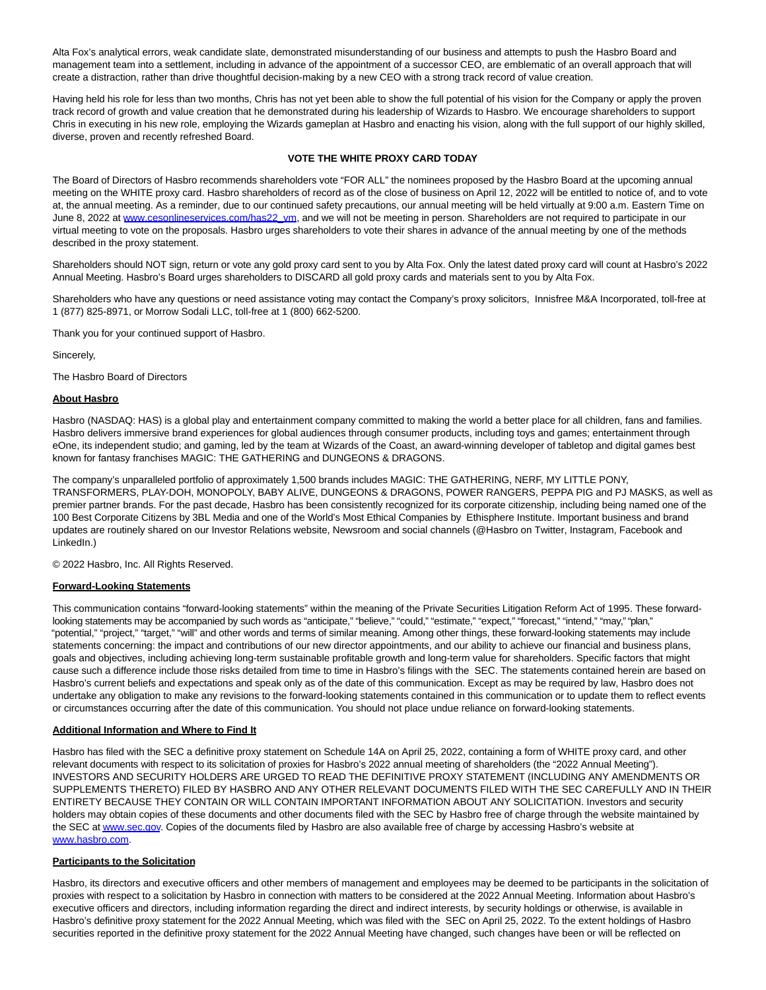Alta Fox's analytical errors, weak candidate slate, demonstrated misunderstanding of our business and attempts to push the Hasbro Board and management team into a settlement, including in advance of the appointment of a successor CEO, are emblematic of an overall approach that will create a distraction, rather than drive thoughtful decision-making by a new CEO with a strong track record of value creation.

Having held his role for less than two months, Chris has not yet been able to show the full potential of his vision for the Company or apply the proven track record of growth and value creation that he demonstrated during his leadership of Wizards to Hasbro. We encourage shareholders to support Chris in executing in his new role, employing the Wizards gameplan at Hasbro and enacting his vision, along with the full support of our highly skilled, diverse, proven and recently refreshed Board.

# **VOTE THE WHITE PROXY CARD TODAY**

The Board of Directors of Hasbro recommends shareholders vote "FOR ALL" the nominees proposed by the Hasbro Board at the upcoming annual meeting on the WHITE proxy card. Hasbro shareholders of record as of the close of business on April 12, 2022 will be entitled to notice of, and to vote at, the annual meeting. As a reminder, due to our continued safety precautions, our annual meeting will be held virtually at 9:00 a.m. Eastern Time on June 8, 2022 a[t www.cesonlineservices.com/has22\\_vm,](https://cts.businesswire.com/ct/CT?id=smartlink&url=http%3A%2F%2Fwww.cesonlineservices.com%2Fhas22_vm&esheet=52696047&newsitemid=20220424005104&lan=en-US&anchor=www.cesonlineservices.com%2Fhas22_vm&index=2&md5=9806416f0dd02e78376eaee15cf381d7) and we will not be meeting in person. Shareholders are not required to participate in our virtual meeting to vote on the proposals. Hasbro urges shareholders to vote their shares in advance of the annual meeting by one of the methods described in the proxy statement.

Shareholders should NOT sign, return or vote any gold proxy card sent to you by Alta Fox. Only the latest dated proxy card will count at Hasbro's 2022 Annual Meeting. Hasbro's Board urges shareholders to DISCARD all gold proxy cards and materials sent to you by Alta Fox.

Shareholders who have any questions or need assistance voting may contact the Company's proxy solicitors, Innisfree M&A Incorporated, toll-free at 1 (877) 825-8971, or Morrow Sodali LLC, toll-free at 1 (800) 662-5200.

Thank you for your continued support of Hasbro.

Sincerely,

The Hasbro Board of Directors

### **About Hasbro**

Hasbro (NASDAQ: HAS) is a global play and entertainment company committed to making the world a better place for all children, fans and families. Hasbro delivers immersive brand experiences for global audiences through consumer products, including toys and games; entertainment through eOne, its independent studio; and gaming, led by the team at Wizards of the Coast, an award-winning developer of tabletop and digital games best known for fantasy franchises MAGIC: THE GATHERING and DUNGEONS & DRAGONS.

The company's unparalleled portfolio of approximately 1,500 brands includes MAGIC: THE GATHERING, NERF, MY LITTLE PONY, TRANSFORMERS, PLAY-DOH, MONOPOLY, BABY ALIVE, DUNGEONS & DRAGONS, POWER RANGERS, PEPPA PIG and PJ MASKS, as well as premier partner brands. For the past decade, Hasbro has been consistently recognized for its corporate citizenship, including being named one of the 100 Best Corporate Citizens by 3BL Media and one of the World's Most Ethical Companies by Ethisphere Institute. Important business and brand updates are routinely shared on our Investor Relations website, Newsroom and social channels (@Hasbro on Twitter, Instagram, Facebook and LinkedIn.)

© 2022 Hasbro, Inc. All Rights Reserved.

#### **Forward-Looking Statements**

This communication contains "forward-looking statements" within the meaning of the Private Securities Litigation Reform Act of 1995. These forwardlooking statements may be accompanied by such words as "anticipate," "believe," "could," "estimate," "expect," "forecast," "intend," "may," "plan," "potential," "project," "target," "will" and other words and terms of similar meaning. Among other things, these forward-looking statements may include statements concerning: the impact and contributions of our new director appointments, and our ability to achieve our financial and business plans, goals and objectives, including achieving long-term sustainable profitable growth and long-term value for shareholders. Specific factors that might cause such a difference include those risks detailed from time to time in Hasbro's filings with the SEC. The statements contained herein are based on Hasbro's current beliefs and expectations and speak only as of the date of this communication. Except as may be required by law, Hasbro does not undertake any obligation to make any revisions to the forward-looking statements contained in this communication or to update them to reflect events or circumstances occurring after the date of this communication. You should not place undue reliance on forward-looking statements.

#### **Additional Information and Where to Find It**

Hasbro has filed with the SEC a definitive proxy statement on Schedule 14A on April 25, 2022, containing a form of WHITE proxy card, and other relevant documents with respect to its solicitation of proxies for Hasbro's 2022 annual meeting of shareholders (the "2022 Annual Meeting"). INVESTORS AND SECURITY HOLDERS ARE URGED TO READ THE DEFINITIVE PROXY STATEMENT (INCLUDING ANY AMENDMENTS OR SUPPLEMENTS THERETO) FILED BY HASBRO AND ANY OTHER RELEVANT DOCUMENTS FILED WITH THE SEC CAREFULLY AND IN THEIR ENTIRETY BECAUSE THEY CONTAIN OR WILL CONTAIN IMPORTANT INFORMATION ABOUT ANY SOLICITATION. Investors and security holders may obtain copies of these documents and other documents filed with the SEC by Hasbro free of charge through the website maintained by the SEC a[t www.sec.gov.](https://cts.businesswire.com/ct/CT?id=smartlink&url=http%3A%2F%2Fwww.sec.gov&esheet=52696047&newsitemid=20220424005104&lan=en-US&anchor=www.sec.gov&index=3&md5=acf3543af5d8cb060d458211e3154e6f) Copies of the documents filed by Hasbro are also available free of charge by accessing Hasbro's website at [www.hasbro.com.](https://cts.businesswire.com/ct/CT?id=smartlink&url=http%3A%2F%2Fwww.hasbro.com&esheet=52696047&newsitemid=20220424005104&lan=en-US&anchor=www.hasbro.com&index=4&md5=57944df6c6eb0a612f3266d86d6f472c)

### **Participants to the Solicitation**

Hasbro, its directors and executive officers and other members of management and employees may be deemed to be participants in the solicitation of proxies with respect to a solicitation by Hasbro in connection with matters to be considered at the 2022 Annual Meeting. Information about Hasbro's executive officers and directors, including information regarding the direct and indirect interests, by security holdings or otherwise, is available in Hasbro's definitive proxy statement for the 2022 Annual Meeting, which was filed with the SEC on April 25, 2022. To the extent holdings of Hasbro securities reported in the definitive proxy statement for the 2022 Annual Meeting have changed, such changes have been or will be reflected on